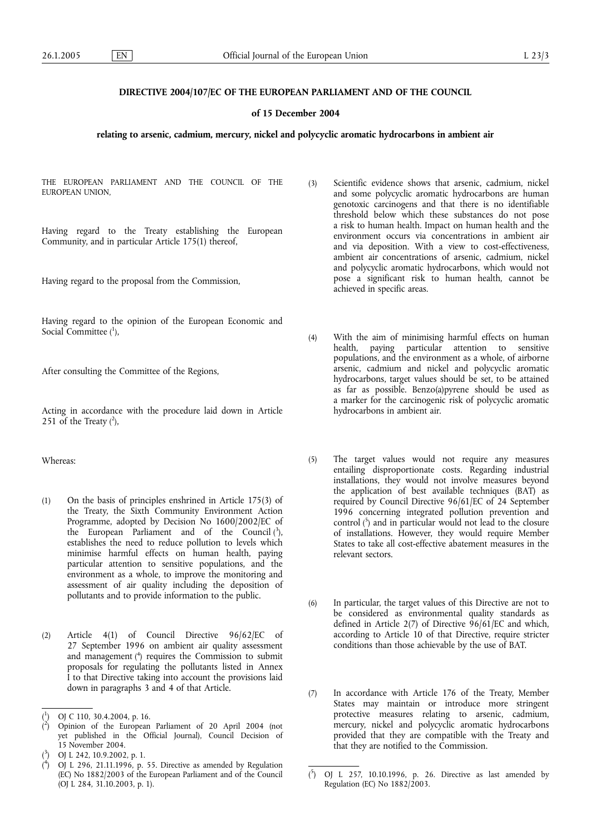# **DIRECTIVE 2004/107/EC OF THE EUROPEAN PARLIAMENT AND OF THE COUNCIL**

## **of 15 December 2004**

## **relating to arsenic, cadmium, mercury, nickel and polycyclic aromatic hydrocarbons in ambient air**

THE EUROPEAN PARLIAMENT AND THE COUNCIL OF THE EUROPEAN UNION,

Having regard to the Treaty establishing the European Community, and in particular Article 175(1) thereof,

Having regard to the proposal from the Commission,

Having regard to the opinion of the European Economic and Social Committee  $(^1)$ ,

After consulting the Committee of the Regions,

Acting in accordance with the procedure laid down in Article 251 of the Treaty  $(^2)$ ,

Whereas:

- (1) On the basis of principles enshrined in Article 175(3) of the Treaty, the Sixth Community Environment Action Programme, adopted by Decision No 1600/2002/EC of the European Parliament and of the Council  $(^3)$ , establishes the need to reduce pollution to levels which minimise harmful effects on human health, paying particular attention to sensitive populations, and the environment as a whole, to improve the monitoring and assessment of air quality including the deposition of pollutants and to provide information to the public.
- (2) Article 4(1) of Council Directive 96/62/EC of 27 September 1996 on ambient air quality assessment and management ( 4 ) requires the Commission to submit proposals for regulating the pollutants listed in Annex I to that Directive taking into account the provisions laid down in paragraphs 3 and 4 of that Article.

( 4 ) OJ L 296, 21.11.1996, p. 55. Directive as amended by Regulation (EC) No 1882/2003 of the European Parliament and of the Council (OJ L 284, 31.10.2003, p. 1).

- (3) Scientific evidence shows that arsenic, cadmium, nickel and some polycyclic aromatic hydrocarbons are human genotoxic carcinogens and that there is no identifiable threshold below which these substances do not pose a risk to human health. Impact on human health and the environment occurs via concentrations in ambient air and via deposition. With a view to cost-effectiveness, ambient air concentrations of arsenic, cadmium, nickel and polycyclic aromatic hydrocarbons, which would not pose a significant risk to human health, cannot be achieved in specific areas.
- (4) With the aim of minimising harmful effects on human health, paying particular attention to sensitive populations, and the environment as a whole, of airborne arsenic, cadmium and nickel and polycyclic aromatic hydrocarbons, target values should be set, to be attained as far as possible. Benzo(a)pyrene should be used as a marker for the carcinogenic risk of polycyclic aromatic hydrocarbons in ambient air.
- (5) The target values would not require any measures entailing disproportionate costs. Regarding industrial installations, they would not involve measures beyond the application of best available techniques (BAT) as required by Council Directive 96/61/EC of 24 September 1996 concerning integrated pollution prevention and control ( 5 ) and in particular would not lead to the closure of installations. However, they would require Member States to take all cost-effective abatement measures in the relevant sectors.
- (6) In particular, the target values of this Directive are not to be considered as environmental quality standards as defined in Article 2(7) of Directive  $96/61/EC$  and which, according to Article 10 of that Directive, require stricter conditions than those achievable by the use of BAT.
- (7) In accordance with Article 176 of the Treaty, Member States may maintain or introduce more stringent protective measures relating to arsenic, cadmium, mercury, nickel and polycyclic aromatic hydrocarbons provided that they are compatible with the Treaty and that they are notified to the Commission.

<sup>(</sup> 1 ) OJ C 110, 30.4.2004, p. 16.

<sup>(</sup> 2 ) Opinion of the European Parliament of 20 April 2004 (not yet published in the Official Journal), Council Decision of 15 November 2004.

<sup>(</sup> 3 ) OJ L 242, 10.9.2002, p. 1.

<sup>(</sup> 5 ) OJ L 257, 10.10.1996, p. 26. Directive as last amended by Regulation (EC) No 1882/2003.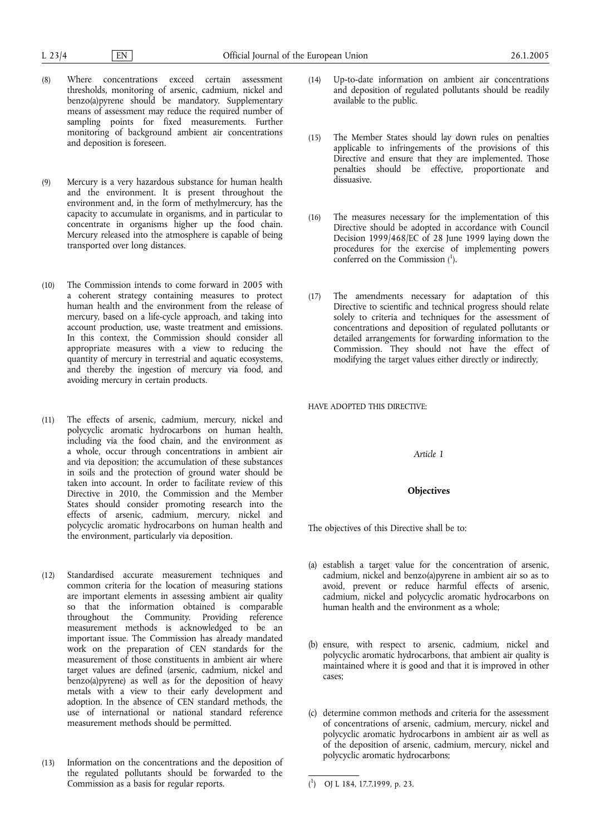- (8) Where concentrations exceed certain assessment thresholds, monitoring of arsenic, cadmium, nickel and benzo(a)pyrene should be mandatory. Supplementary means of assessment may reduce the required number of sampling points for fixed measurements. Further monitoring of background ambient air concentrations and deposition is foreseen.
- (9) Mercury is a very hazardous substance for human health and the environment. It is present throughout the environment and, in the form of methylmercury, has the capacity to accumulate in organisms, and in particular to concentrate in organisms higher up the food chain. Mercury released into the atmosphere is capable of being transported over long distances.
- (10) The Commission intends to come forward in 2005 with a coherent strategy containing measures to protect human health and the environment from the release of mercury, based on a life-cycle approach, and taking into account production, use, waste treatment and emissions. In this context, the Commission should consider all appropriate measures with a view to reducing the quantity of mercury in terrestrial and aquatic ecosystems, and thereby the ingestion of mercury via food, and avoiding mercury in certain products.
- (11) The effects of arsenic, cadmium, mercury, nickel and polycyclic aromatic hydrocarbons on human health, including via the food chain, and the environment as a whole, occur through concentrations in ambient air and via deposition; the accumulation of these substances in soils and the protection of ground water should be taken into account. In order to facilitate review of this Directive in 2010, the Commission and the Member States should consider promoting research into the effects of arsenic, cadmium, mercury, nickel and polycyclic aromatic hydrocarbons on human health and the environment, particularly via deposition.
- (12) Standardised accurate measurement techniques and common criteria for the location of measuring stations are important elements in assessing ambient air quality so that the information obtained is comparable throughout the Community. Providing reference measurement methods is acknowledged to be an important issue. The Commission has already mandated work on the preparation of CEN standards for the measurement of those constituents in ambient air where target values are defined (arsenic, cadmium, nickel and benzo(a)pyrene) as well as for the deposition of heavy metals with a view to their early development and adoption. In the absence of CEN standard methods, the use of international or national standard reference measurement methods should be permitted.
- (13) Information on the concentrations and the deposition of the regulated pollutants should be forwarded to the Commission as a basis for regular reports.
- (14) Up-to-date information on ambient air concentrations and deposition of regulated pollutants should be readily available to the public.
- (15) The Member States should lay down rules on penalties applicable to infringements of the provisions of this Directive and ensure that they are implemented. Those penalties should be effective, proportionate and dissuasive.
- (16) The measures necessary for the implementation of this Directive should be adopted in accordance with Council Decision 1999/468/EC of 28 June 1999 laying down the procedures for the exercise of implementing powers conferred on the Commission (1).
- (17) The amendments necessary for adaptation of this Directive to scientific and technical progress should relate solely to criteria and techniques for the assessment of concentrations and deposition of regulated pollutants or detailed arrangements for forwarding information to the Commission. They should not have the effect of modifying the target values either directly or indirectly,

HAVE ADOPTED THIS DIRECTIVE:

*Article 1*

## **Objectives**

The objectives of this Directive shall be to:

- (a) establish a target value for the concentration of arsenic, cadmium, nickel and benzo(a)pyrene in ambient air so as to avoid, prevent or reduce harmful effects of arsenic, cadmium, nickel and polycyclic aromatic hydrocarbons on human health and the environment as a whole;
- (b) ensure, with respect to arsenic, cadmium, nickel and polycyclic aromatic hydrocarbons, that ambient air quality is maintained where it is good and that it is improved in other cases;
- (c) determine common methods and criteria for the assessment of concentrations of arsenic, cadmium, mercury, nickel and polycyclic aromatic hydrocarbons in ambient air as well as of the deposition of arsenic, cadmium, mercury, nickel and polycyclic aromatic hydrocarbons;

<sup>(</sup> 1 ) OJ L 184, 17.7.1999, p. 23.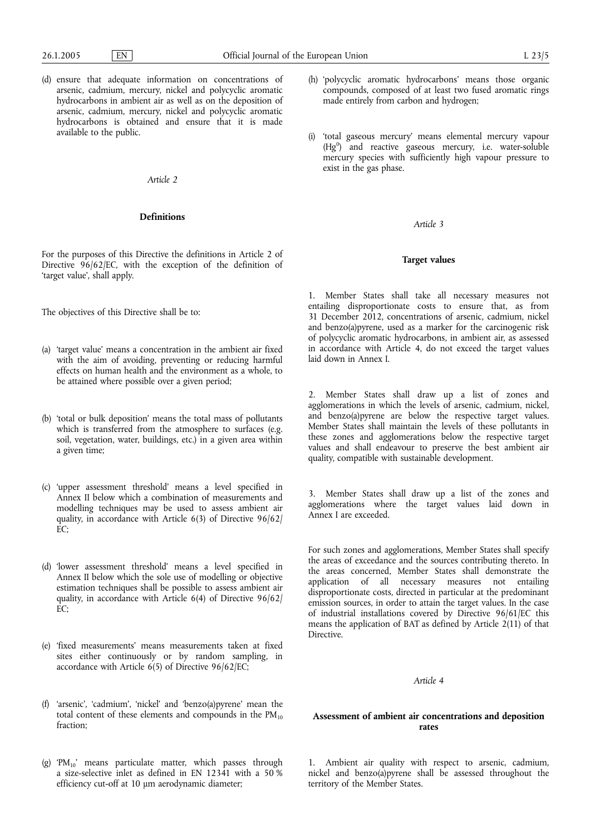(d) ensure that adequate information on concentrations of arsenic, cadmium, mercury, nickel and polycyclic aromatic hydrocarbons in ambient air as well as on the deposition of arsenic, cadmium, mercury, nickel and polycyclic aromatic hydrocarbons is obtained and ensure that it is made available to the public.

## *Article 2*

## **Definitions**

For the purposes of this Directive the definitions in Article 2 of Directive 96/62/EC, with the exception of the definition of 'target value', shall apply.

The objectives of this Directive shall be to:

- (a) 'target value' means a concentration in the ambient air fixed with the aim of avoiding, preventing or reducing harmful effects on human health and the environment as a whole, to be attained where possible over a given period;
- (b) 'total or bulk deposition' means the total mass of pollutants which is transferred from the atmosphere to surfaces (e.g. soil, vegetation, water, buildings, etc.) in a given area within a given time;
- (c) 'upper assessment threshold' means a level specified in Annex II below which a combination of measurements and modelling techniques may be used to assess ambient air quality, in accordance with Article 6(3) of Directive 96/62/  $EC$
- (d) 'lower assessment threshold' means a level specified in Annex II below which the sole use of modelling or objective estimation techniques shall be possible to assess ambient air quality, in accordance with Article 6(4) of Directive 96/62/ EC;
- (e) 'fixed measurements' means measurements taken at fixed sites either continuously or by random sampling, in accordance with Article 6(5) of Directive 96/62/EC;
- (f) 'arsenic', 'cadmium', 'nickel' and 'benzo(a)pyrene' mean the total content of these elements and compounds in the  $PM_{10}$ fraction;
- (g) 'PM<sub>10</sub>' means particulate matter, which passes through a size-selective inlet as defined in EN 12341 with a 50 % efficiency cut-off at 10 μm aerodynamic diameter;
- (h) 'polycyclic aromatic hydrocarbons' means those organic compounds, composed of at least two fused aromatic rings made entirely from carbon and hydrogen;
- (i) 'total gaseous mercury' means elemental mercury vapour (Hg<sup>0</sup>) and reactive gaseous mercury, i.e. water-soluble mercury species with sufficiently high vapour pressure to exist in the gas phase.

*Article 3*

## **Target values**

1. Member States shall take all necessary measures not entailing disproportionate costs to ensure that, as from 31 December 2012, concentrations of arsenic, cadmium, nickel and benzo(a)pyrene, used as a marker for the carcinogenic risk of polycyclic aromatic hydrocarbons, in ambient air, as assessed in accordance with Article 4, do not exceed the target values laid down in Annex I.

2. Member States shall draw up a list of zones and agglomerations in which the levels of arsenic, cadmium, nickel, and benzo(a)pyrene are below the respective target values. Member States shall maintain the levels of these pollutants in these zones and agglomerations below the respective target values and shall endeavour to preserve the best ambient air quality, compatible with sustainable development.

3. Member States shall draw up a list of the zones and agglomerations where the target values laid down in Annex I are exceeded.

For such zones and agglomerations, Member States shall specify the areas of exceedance and the sources contributing thereto. In the areas concerned, Member States shall demonstrate the application of all necessary measures not entailing disproportionate costs, directed in particular at the predominant emission sources, in order to attain the target values. In the case of industrial installations covered by Directive 96/61/EC this means the application of BAT as defined by Article 2(11) of that Directive.

#### *Article 4*

# **Assessment of ambient air concentrations and deposition rates**

1. Ambient air quality with respect to arsenic, cadmium, nickel and benzo(a)pyrene shall be assessed throughout the territory of the Member States.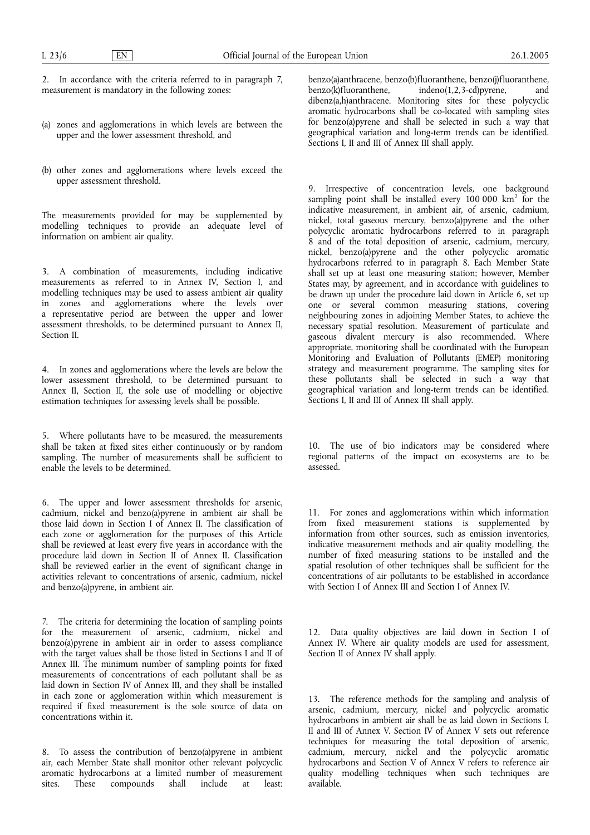2. In accordance with the criteria referred to in paragraph 7, measurement is mandatory in the following zones:

- (a) zones and agglomerations in which levels are between the upper and the lower assessment threshold, and
- (b) other zones and agglomerations where levels exceed the upper assessment threshold.

The measurements provided for may be supplemented by modelling techniques to provide an adequate level of information on ambient air quality.

3. A combination of measurements, including indicative measurements as referred to in Annex IV, Section I, and modelling techniques may be used to assess ambient air quality in zones and agglomerations where the levels over a representative period are between the upper and lower assessment thresholds, to be determined pursuant to Annex II, Section II.

4. In zones and agglomerations where the levels are below the lower assessment threshold, to be determined pursuant to Annex II, Section II, the sole use of modelling or objective estimation techniques for assessing levels shall be possible.

5. Where pollutants have to be measured, the measurements shall be taken at fixed sites either continuously or by random sampling. The number of measurements shall be sufficient to enable the levels to be determined.

6. The upper and lower assessment thresholds for arsenic, cadmium, nickel and benzo(a)pyrene in ambient air shall be those laid down in Section I of Annex II. The classification of each zone or agglomeration for the purposes of this Article shall be reviewed at least every five years in accordance with the procedure laid down in Section II of Annex II. Classification shall be reviewed earlier in the event of significant change in activities relevant to concentrations of arsenic, cadmium, nickel and benzo(a)pyrene, in ambient air.

7. The criteria for determining the location of sampling points for the measurement of arsenic, cadmium, nickel and benzo(a)pyrene in ambient air in order to assess compliance with the target values shall be those listed in Sections I and II of Annex III. The minimum number of sampling points for fixed measurements of concentrations of each pollutant shall be as laid down in Section IV of Annex III, and they shall be installed in each zone or agglomeration within which measurement is required if fixed measurement is the sole source of data on concentrations within it.

8. To assess the contribution of benzo(a)pyrene in ambient air, each Member State shall monitor other relevant polycyclic aromatic hydrocarbons at a limited number of measurement sites. These compounds shall include at least:

benzo(a)anthracene, benzo(b)fluoranthene, benzo(j)fluoranthene,<br>benzo(k)fluoranthene, indeno(1,2,3-cd)pyrene, and  $indeno(1,2,3-cd)$ pyrene, and dibenz(a,h)anthracene. Monitoring sites for these polycyclic aromatic hydrocarbons shall be co-located with sampling sites for benzo(a)pyrene and shall be selected in such a way that geographical variation and long-term trends can be identified. Sections I, II and III of Annex III shall apply.

9. Irrespective of concentration levels, one background sampling point shall be installed every 100 000 km<sup>2</sup> for the indicative measurement, in ambient air, of arsenic, cadmium, nickel, total gaseous mercury, benzo(a)pyrene and the other polycyclic aromatic hydrocarbons referred to in paragraph 8 and of the total deposition of arsenic, cadmium, mercury, nickel, benzo(a)pyrene and the other polycyclic aromatic hydrocarbons referred to in paragraph 8. Each Member State shall set up at least one measuring station; however, Member States may, by agreement, and in accordance with guidelines to be drawn up under the procedure laid down in Article 6, set up one or several common measuring stations, covering neighbouring zones in adjoining Member States, to achieve the necessary spatial resolution. Measurement of particulate and gaseous divalent mercury is also recommended. Where appropriate, monitoring shall be coordinated with the European Monitoring and Evaluation of Pollutants (EMEP) monitoring strategy and measurement programme. The sampling sites for these pollutants shall be selected in such a way that geographical variation and long-term trends can be identified. Sections I, II and III of Annex III shall apply.

10. The use of bio indicators may be considered where regional patterns of the impact on ecosystems are to be assessed.

11. For zones and agglomerations within which information from fixed measurement stations is supplemented by information from other sources, such as emission inventories, indicative measurement methods and air quality modelling, the number of fixed measuring stations to be installed and the spatial resolution of other techniques shall be sufficient for the concentrations of air pollutants to be established in accordance with Section I of Annex III and Section I of Annex IV.

12. Data quality objectives are laid down in Section I of Annex IV. Where air quality models are used for assessment, Section II of Annex IV shall apply.

13. The reference methods for the sampling and analysis of arsenic, cadmium, mercury, nickel and polycyclic aromatic hydrocarbons in ambient air shall be as laid down in Sections I, II and III of Annex V. Section IV of Annex V sets out reference techniques for measuring the total deposition of arsenic, cadmium, mercury, nickel and the polycyclic aromatic hydrocarbons and Section V of Annex V refers to reference air quality modelling techniques when such techniques are available.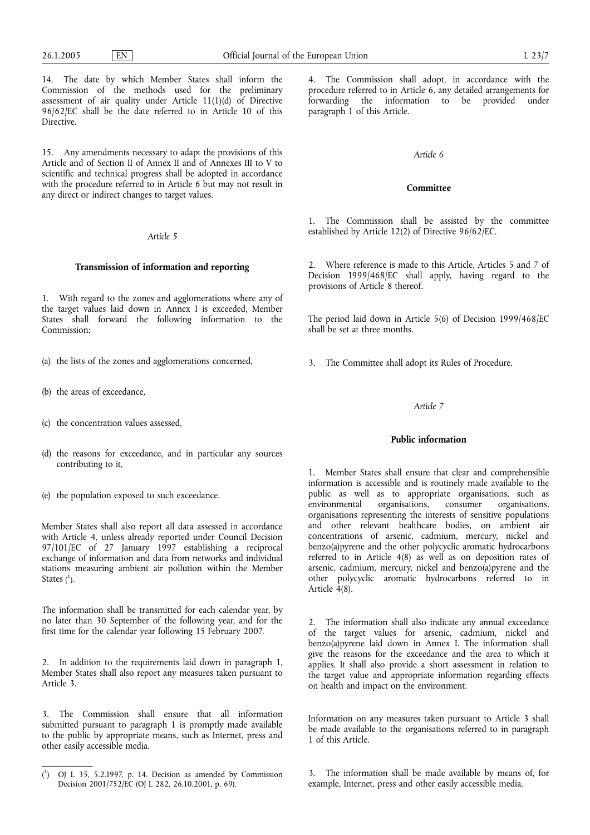14. The date by which Member States shall inform the Commission of the methods used for the preliminary assessment of air quality under Article 11(1)(d) of Directive 96/62/EC shall be the date referred to in Article 10 of this Directive.

15. Any amendments necessary to adapt the provisions of this Article and of Section II of Annex II and of Annexes III to V to scientific and technical progress shall be adopted in accordance with the procedure referred to in Article 6 but may not result in any direct or indirect changes to target values.

#### *Article 5*

### **Transmission of information and reporting**

1. With regard to the zones and agglomerations where any of the target values laid down in Annex I is exceeded, Member States shall forward the following information to the Commission:

- (a) the lists of the zones and agglomerations concerned,
- (b) the areas of exceedance,
- (c) the concentration values assessed,
- (d) the reasons for exceedance, and in particular any sources contributing to it,
- (e) the population exposed to such exceedance.

Member States shall also report all data assessed in accordance with Article 4, unless already reported under Council Decision 97/101/EC of 27 January 1997 establishing a reciprocal exchange of information and data from networks and individual stations measuring ambient air pollution within the Member States  $(^1)$ .

The information shall be transmitted for each calendar year, by no later than 30 September of the following year, and for the first time for the calendar year following 15 February 2007.

2. In addition to the requirements laid down in paragraph 1, Member States shall also report any measures taken pursuant to Article 3.

3. The Commission shall ensure that all information submitted pursuant to paragraph 1 is promptly made available to the public by appropriate means, such as Internet, press and other easily accessible media.

4. The Commission shall adopt, in accordance with the procedure referred to in Article 6, any detailed arrangements for forwarding the information to be provided under paragraph 1 of this Article.

#### *Article 6*

#### **Committee**

1. The Commission shall be assisted by the committee established by Article 12(2) of Directive 96/62/EC.

2. Where reference is made to this Article, Articles 5 and 7 of Decision 1999/468/EC shall apply, having regard to the provisions of Article 8 thereof.

The period laid down in Article 5(6) of Decision 1999/468/EC shall be set at three months.

3. The Committee shall adopt its Rules of Procedure.

## *Article 7*

# **Public information**

1. Member States shall ensure that clear and comprehensible information is accessible and is routinely made available to the public as well as to appropriate organisations, such as environmental organisations, consumer organisations, organisations, organisations representing the interests of sensitive populations and other relevant healthcare bodies, on ambient air concentrations of arsenic, cadmium, mercury, nickel and benzo(a)pyrene and the other polycyclic aromatic hydrocarbons referred to in Article 4(8) as well as on deposition rates of arsenic, cadmium, mercury, nickel and benzo(a)pyrene and the other polycyclic aromatic hydrocarbons referred to in Article 4(8).

2. The information shall also indicate any annual exceedance of the target values for arsenic, cadmium, nickel and benzo(a)pyrene laid down in Annex I. The information shall give the reasons for the exceedance and the area to which it applies. It shall also provide a short assessment in relation to the target value and appropriate information regarding effects on health and impact on the environment.

Information on any measures taken pursuant to Article 3 shall be made available to the organisations referred to in paragraph 1 of this Article.

3. The information shall be made available by means of, for example, Internet, press and other easily accessible media.

 $\binom{1}{1}$ ) OJ L 35, 5.2.1997, p. 14. Decision as amended by Commission Decision 2001/752/EC (OJ L 282, 26.10.2001, p. 69).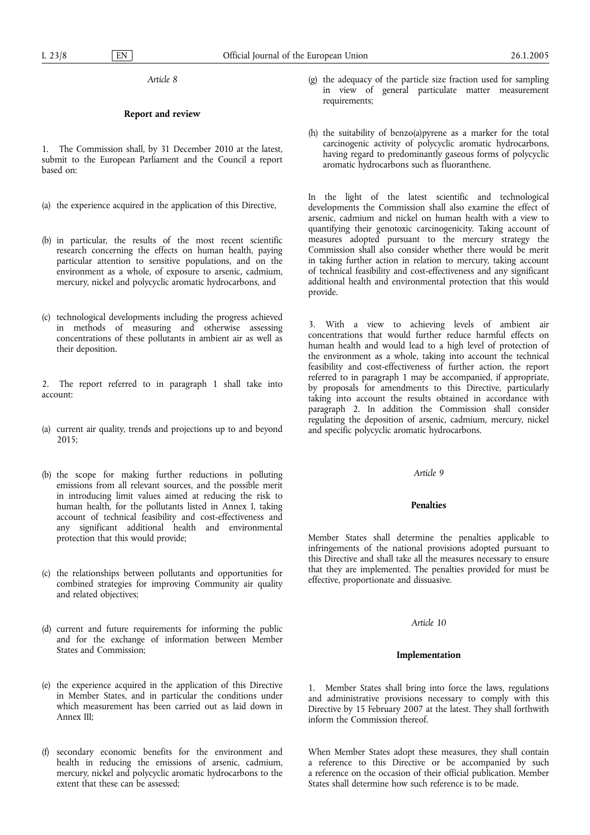*Article 8*

# **Report and review**

1. The Commission shall, by 31 December 2010 at the latest, submit to the European Parliament and the Council a report based on:

- (a) the experience acquired in the application of this Directive,
- (b) in particular, the results of the most recent scientific research concerning the effects on human health, paying particular attention to sensitive populations, and on the environment as a whole, of exposure to arsenic, cadmium, mercury, nickel and polycyclic aromatic hydrocarbons, and
- (c) technological developments including the progress achieved in methods of measuring and otherwise assessing concentrations of these pollutants in ambient air as well as their deposition.

2. The report referred to in paragraph 1 shall take into account:

- (a) current air quality, trends and projections up to and beyond 2015;
- (b) the scope for making further reductions in polluting emissions from all relevant sources, and the possible merit in introducing limit values aimed at reducing the risk to human health, for the pollutants listed in Annex I, taking account of technical feasibility and cost-effectiveness and any significant additional health and environmental protection that this would provide;
- (c) the relationships between pollutants and opportunities for combined strategies for improving Community air quality and related objectives;
- (d) current and future requirements for informing the public and for the exchange of information between Member States and Commission;
- (e) the experience acquired in the application of this Directive in Member States, and in particular the conditions under which measurement has been carried out as laid down in Annex III;
- (f) secondary economic benefits for the environment and health in reducing the emissions of arsenic, cadmium, mercury, nickel and polycyclic aromatic hydrocarbons to the extent that these can be assessed;
- (g) the adequacy of the particle size fraction used for sampling in view of general particulate matter measurement requirements;
- (h) the suitability of benzo(a)pyrene as a marker for the total carcinogenic activity of polycyclic aromatic hydrocarbons, having regard to predominantly gaseous forms of polycyclic aromatic hydrocarbons such as fluoranthene.

In the light of the latest scientific and technological developments the Commission shall also examine the effect of arsenic, cadmium and nickel on human health with a view to quantifying their genotoxic carcinogenicity. Taking account of measures adopted pursuant to the mercury strategy the Commission shall also consider whether there would be merit in taking further action in relation to mercury, taking account of technical feasibility and cost-effectiveness and any significant additional health and environmental protection that this would provide.

3. With a view to achieving levels of ambient air concentrations that would further reduce harmful effects on human health and would lead to a high level of protection of the environment as a whole, taking into account the technical feasibility and cost-effectiveness of further action, the report referred to in paragraph 1 may be accompanied, if appropriate, by proposals for amendments to this Directive, particularly taking into account the results obtained in accordance with paragraph 2. In addition the Commission shall consider regulating the deposition of arsenic, cadmium, mercury, nickel and specific polycyclic aromatic hydrocarbons.

## *Article 9*

## **Penalties**

Member States shall determine the penalties applicable to infringements of the national provisions adopted pursuant to this Directive and shall take all the measures necessary to ensure that they are implemented. The penalties provided for must be effective, proportionate and dissuasive.

## *Article 10*

## **Implementation**

1. Member States shall bring into force the laws, regulations and administrative provisions necessary to comply with this Directive by 15 February 2007 at the latest. They shall forthwith inform the Commission thereof.

When Member States adopt these measures, they shall contain a reference to this Directive or be accompanied by such a reference on the occasion of their official publication. Member States shall determine how such reference is to be made.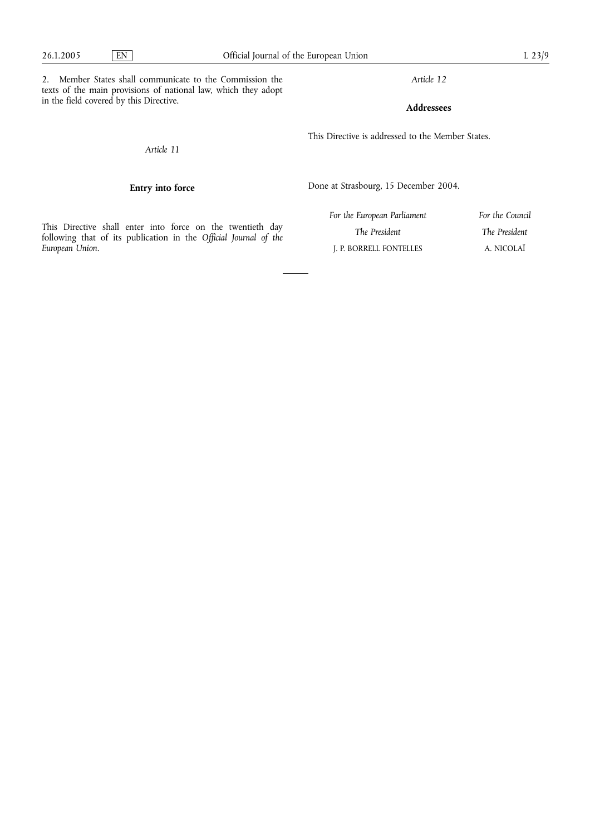2. Member States shall communicate to the Commission the texts of the main provisions of national law, which they adopt in the field covered by this Directive.

*Article 12*

**Addressees**

This Directive is addressed to the Member States.

*Article 11*

# **Entry into force**

Done at Strasbourg, 15 December 2004.

|                 |  |  |  |  |  | This Directive shall enter into force on the twentieth day       |  |  |
|-----------------|--|--|--|--|--|------------------------------------------------------------------|--|--|
|                 |  |  |  |  |  | following that of its publication in the Official Journal of the |  |  |
| European Union. |  |  |  |  |  |                                                                  |  |  |

| For the European Parliament | For the Council |
|-----------------------------|-----------------|
| The President               | The President   |
| J. P. BORRELL FONTELLES     | A. NICOLAÏ      |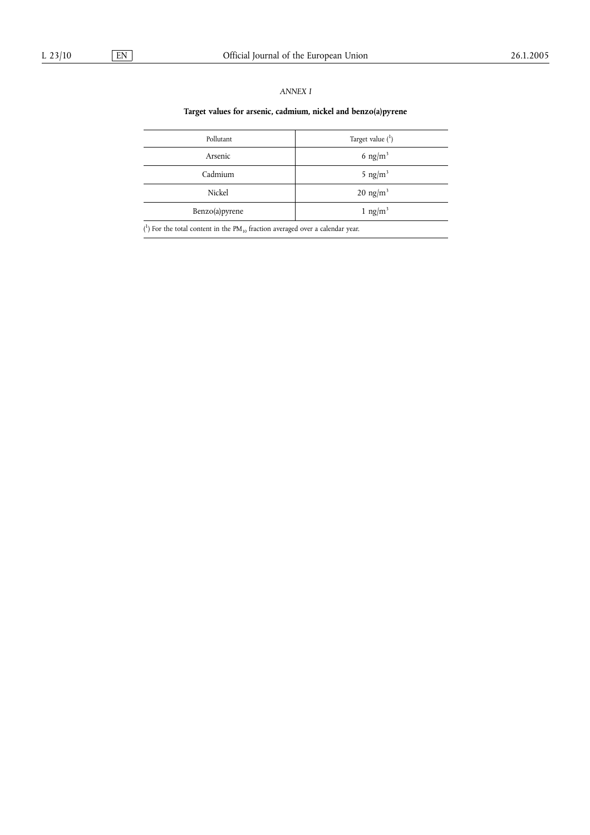# *ANNEX I*

# **Target values for arsenic, cadmium, nickel and benzo(a)pyrene**

| Pollutant       | Target value $(^1)$    |
|-----------------|------------------------|
| Arsenic         | 6 ng/m <sup>3</sup>    |
| Cadmium         | 5 ng/ $m^3$            |
| Nickel          | $20$ ng/m <sup>3</sup> |
| Benzo(a) pyrene | 1 ng/m <sup>3</sup>    |
| $\overline{a}$  |                        |

 $(1)$  For the total content in the PM<sub>10</sub> fraction averaged over a calendar year.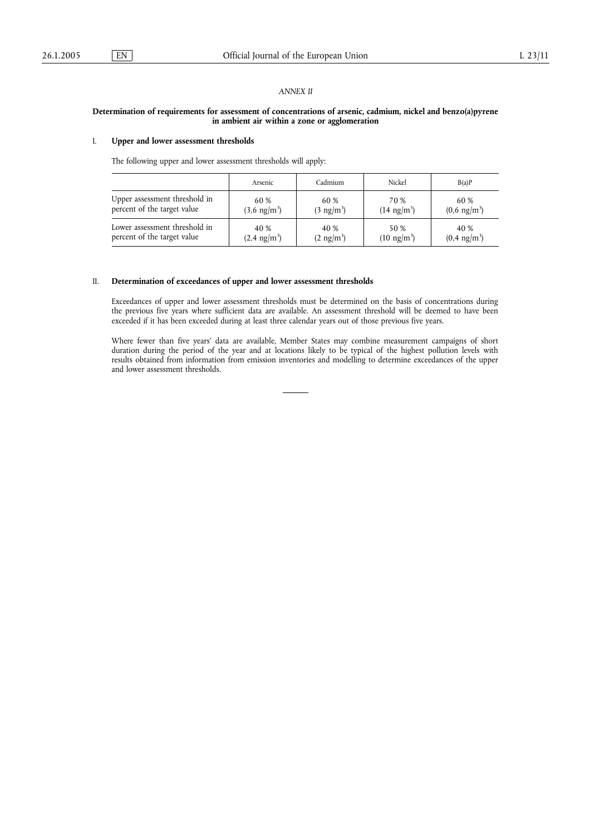### *ANNEX II*

## **Determination of requirements for assessment of concentrations of arsenic, cadmium, nickel and benzo(a)pyrene in ambient air within a zone or agglomeration**

### I. **Upper and lower assessment thresholds**

The following upper and lower assessment thresholds will apply:

|                               | Arsenic                | Cadmium              | Nickel                | B(a)P                  |
|-------------------------------|------------------------|----------------------|-----------------------|------------------------|
| Upper assessment threshold in | 60 %                   | 60 %                 | 70 %                  | 60 %                   |
| percent of the target value   | $(3.6 \text{ ng/m}^3)$ | $(3 \text{ ng/m}^3)$ | $(14 \text{ ng/m}^3)$ | $(0.6 \text{ ng/m}^3)$ |
| Lower assessment threshold in | 40 %                   | 40 %                 | 50 %                  | 40 %                   |
| percent of the target value   | $(2,4 \text{ ng/m}^3)$ | $(2 \text{ ng/m}^3)$ | $(10 \text{ ng/m}^3)$ | $(0.4 \text{ ng/m}^3)$ |

### II. **Determination of exceedances of upper and lower assessment thresholds**

Exceedances of upper and lower assessment thresholds must be determined on the basis of concentrations during the previous five years where sufficient data are available. An assessment threshold will be deemed to have been exceeded if it has been exceeded during at least three calendar years out of those previous five years.

Where fewer than five years' data are available, Member States may combine measurement campaigns of short duration during the period of the year and at locations likely to be typical of the highest pollution levels with results obtained from information from emission inventories and modelling to determine exceedances of the upper and lower assessment thresholds.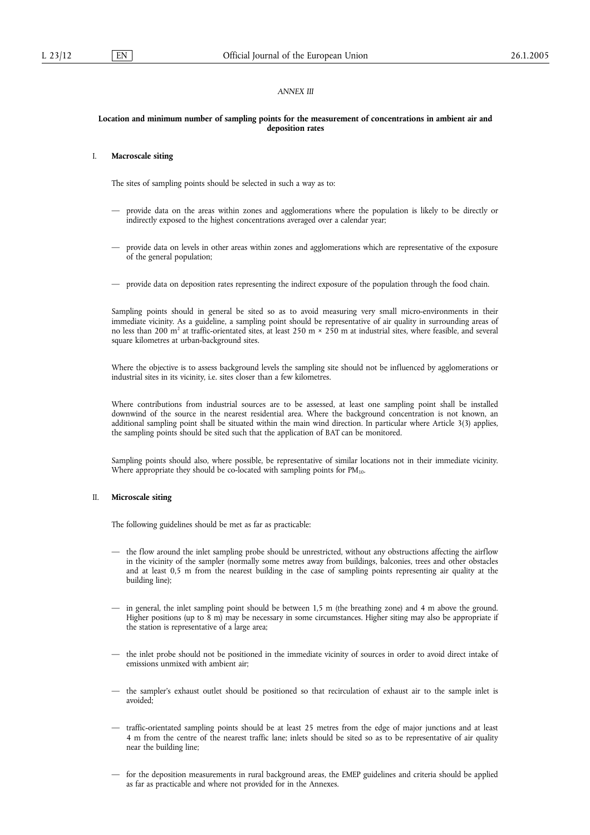## *ANNEX III*

#### **Location and minimum number of sampling points for the measurement of concentrations in ambient air and deposition rates**

#### I. **Macroscale siting**

The sites of sampling points should be selected in such a way as to:

- provide data on the areas within zones and agglomerations where the population is likely to be directly or indirectly exposed to the highest concentrations averaged over a calendar year;
- provide data on levels in other areas within zones and agglomerations which are representative of the exposure of the general population;
- provide data on deposition rates representing the indirect exposure of the population through the food chain.

Sampling points should in general be sited so as to avoid measuring very small micro-environments in their immediate vicinity. As a guideline, a sampling point should be representative of air quality in surrounding areas of no less than 200 m<sup>2</sup> at traffic-orientated sites, at least 250 m × 250 m at industrial sites, where feasible, and several square kilometres at urban-background sites.

Where the objective is to assess background levels the sampling site should not be influenced by agglomerations or industrial sites in its vicinity, i.e. sites closer than a few kilometres.

Where contributions from industrial sources are to be assessed, at least one sampling point shall be installed downwind of the source in the nearest residential area. Where the background concentration is not known, an additional sampling point shall be situated within the main wind direction. In particular where Article 3(3) applies, the sampling points should be sited such that the application of BAT can be monitored.

Sampling points should also, where possible, be representative of similar locations not in their immediate vicinity. Where appropriate they should be co-located with sampling points for  $PM_{10}$ .

#### II. **Microscale siting**

The following guidelines should be met as far as practicable:

- the flow around the inlet sampling probe should be unrestricted, without any obstructions affecting the airflow in the vicinity of the sampler (normally some metres away from buildings, balconies, trees and other obstacles and at least 0,5 m from the nearest building in the case of sampling points representing air quality at the building line);
- in general, the inlet sampling point should be between 1,5 m (the breathing zone) and 4 m above the ground. Higher positions (up to 8 m) may be necessary in some circumstances. Higher siting may also be appropriate if the station is representative of a large area;
- the inlet probe should not be positioned in the immediate vicinity of sources in order to avoid direct intake of emissions unmixed with ambient air;
- the sampler's exhaust outlet should be positioned so that recirculation of exhaust air to the sample inlet is avoided;
- traffic-orientated sampling points should be at least 25 metres from the edge of major junctions and at least 4 m from the centre of the nearest traffic lane; inlets should be sited so as to be representative of air quality near the building line;
- for the deposition measurements in rural background areas, the EMEP guidelines and criteria should be applied as far as practicable and where not provided for in the Annexes.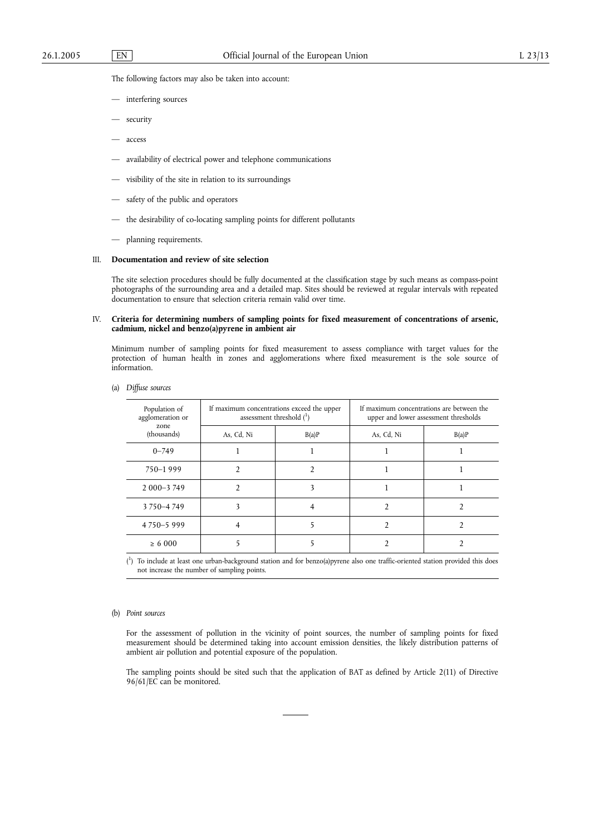The following factors may also be taken into account:

- interfering sources
- security
- access
- availability of electrical power and telephone communications
- visibility of the site in relation to its surroundings
- safety of the public and operators
- the desirability of co-locating sampling points for different pollutants
- planning requirements.

## III. **Documentation and review of site selection**

The site selection procedures should be fully documented at the classification stage by such means as compass-point photographs of the surrounding area and a detailed map. Sites should be reviewed at regular intervals with repeated documentation to ensure that selection criteria remain valid over time.

## IV. **Criteria for determining numbers of sampling points for fixed measurement of concentrations of arsenic, cadmium, nickel and benzo(a)pyrene in ambient air**

Minimum number of sampling points for fixed measurement to assess compliance with target values for the protection of human health in zones and agglomerations where fixed measurement is the sole source of information.

| (a) | Diffuse sources |  |
|-----|-----------------|--|
|     |                 |  |

| Population of<br>agglomeration or | assessment threshold $(^1)$ | If maximum concentrations exceed the upper | If maximum concentrations are between the<br>upper and lower assessment thresholds |       |  |
|-----------------------------------|-----------------------------|--------------------------------------------|------------------------------------------------------------------------------------|-------|--|
| zone<br>(thousands)               | As, Cd, Ni                  | B(a)P                                      | As, Cd, Ni                                                                         | B(a)P |  |
| $0 - 749$                         |                             |                                            |                                                                                    |       |  |
| 750-1999                          |                             |                                            |                                                                                    |       |  |
| $2000 - 3749$                     |                             |                                            |                                                                                    |       |  |
| 3750-4749                         |                             |                                            |                                                                                    |       |  |
| 4750-5999                         |                             |                                            |                                                                                    |       |  |
| $\ge 6000$                        |                             |                                            |                                                                                    |       |  |

( 1 ) To include at least one urban-background station and for benzo(a)pyrene also one traffic-oriented station provided this does not increase the number of sampling points.

#### (b) *Point sources*

For the assessment of pollution in the vicinity of point sources, the number of sampling points for fixed measurement should be determined taking into account emission densities, the likely distribution patterns of ambient air pollution and potential exposure of the population.

The sampling points should be sited such that the application of BAT as defined by Article 2(11) of Directive 96/61/EC can be monitored.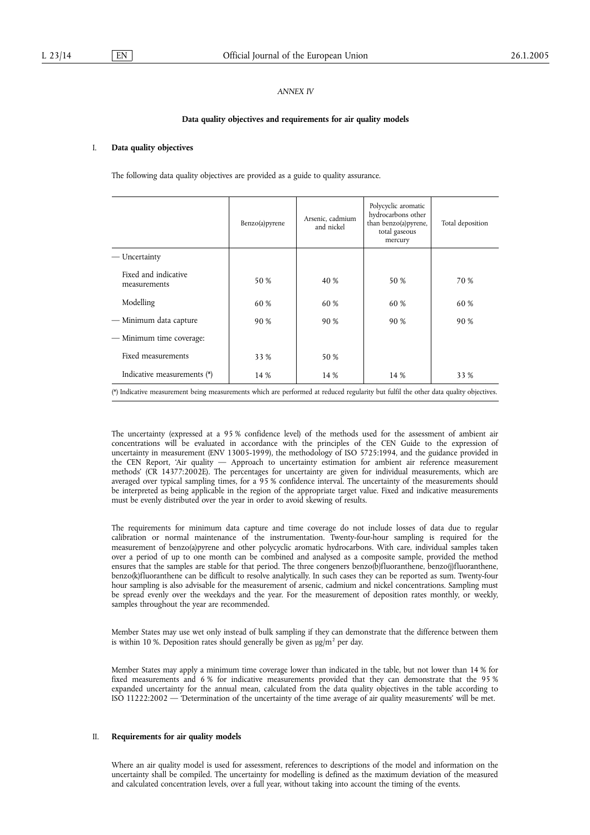## *ANNEX IV*

#### **Data quality objectives and requirements for air quality models**

## I. **Data quality objectives**

The following data quality objectives are provided as a guide to quality assurance.

|                                                                                                                                       | Benzo(a)pyrene | Arsenic, cadmium<br>and nickel | Polycyclic aromatic<br>hydrocarbons other<br>than benzo(a) pyrene,<br>total gaseous<br>mercury | Total deposition |  |  |
|---------------------------------------------------------------------------------------------------------------------------------------|----------------|--------------------------------|------------------------------------------------------------------------------------------------|------------------|--|--|
| — Uncertainty                                                                                                                         |                |                                |                                                                                                |                  |  |  |
| Fixed and indicative<br>measurements                                                                                                  | 50 %           | 40 %                           | 50 %                                                                                           | 70 %             |  |  |
| Modelling                                                                                                                             | 60 %           | 60 %                           | 60 %                                                                                           | 60 %             |  |  |
| — Minimum data capture                                                                                                                | 90 %           | 90 %                           | 90 %                                                                                           | 90 %             |  |  |
| — Minimum time coverage:                                                                                                              |                |                                |                                                                                                |                  |  |  |
| Fixed measurements                                                                                                                    | 33 %           | 50 %                           |                                                                                                |                  |  |  |
| Indicative measurements (*)                                                                                                           | 14 %           | 14 %                           | 14 %                                                                                           | 33 %             |  |  |
| (*) Indicative measurement being measurements which are performed at reduced regularity but fulfil the other data quality objectives. |                |                                |                                                                                                |                  |  |  |

The uncertainty (expressed at a 95 % confidence level) of the methods used for the assessment of ambient air concentrations will be evaluated in accordance with the principles of the CEN Guide to the expression of uncertainty in measurement (ENV 13005-1999), the methodology of ISO 5725:1994, and the guidance provided in the CEN Report, 'Air quality — Approach to uncertainty estimation for ambient air reference measurement methods' (CR 14377:2002E). The percentages for uncertainty are given for individual measurements, which are averaged over typical sampling times, for a 95 % confidence interval. The uncertainty of the measurements should be interpreted as being applicable in the region of the appropriate target value. Fixed and indicative measurements must be evenly distributed over the year in order to avoid skewing of results.

The requirements for minimum data capture and time coverage do not include losses of data due to regular calibration or normal maintenance of the instrumentation. Twenty-four-hour sampling is required for the measurement of benzo(a)pyrene and other polycyclic aromatic hydrocarbons. With care, individual samples taken over a period of up to one month can be combined and analysed as a composite sample, provided the method ensures that the samples are stable for that period. The three congeners benzo(b)fluoranthene, benzo(j)fluoranthene, benzo(k)fluoranthene can be difficult to resolve analytically. In such cases they can be reported as sum. Twenty-four hour sampling is also advisable for the measurement of arsenic, cadmium and nickel concentrations. Sampling must be spread evenly over the weekdays and the year. For the measurement of deposition rates monthly, or weekly, samples throughout the year are recommended.

Member States may use wet only instead of bulk sampling if they can demonstrate that the difference between them is within 10 %. Deposition rates should generally be given as  $\mu$ g/m<sup>2</sup> per day.

Member States may apply a minimum time coverage lower than indicated in the table, but not lower than 14 % for fixed measurements and 6 % for indicative measurements provided that they can demonstrate that the 95 % expanded uncertainty for the annual mean, calculated from the data quality objectives in the table according to ISO 11222:2002 — 'Determination of the uncertainty of the time average of air quality measurements' will be met.

### II. **Requirements for air quality models**

Where an air quality model is used for assessment, references to descriptions of the model and information on the uncertainty shall be compiled. The uncertainty for modelling is defined as the maximum deviation of the measured and calculated concentration levels, over a full year, without taking into account the timing of the events.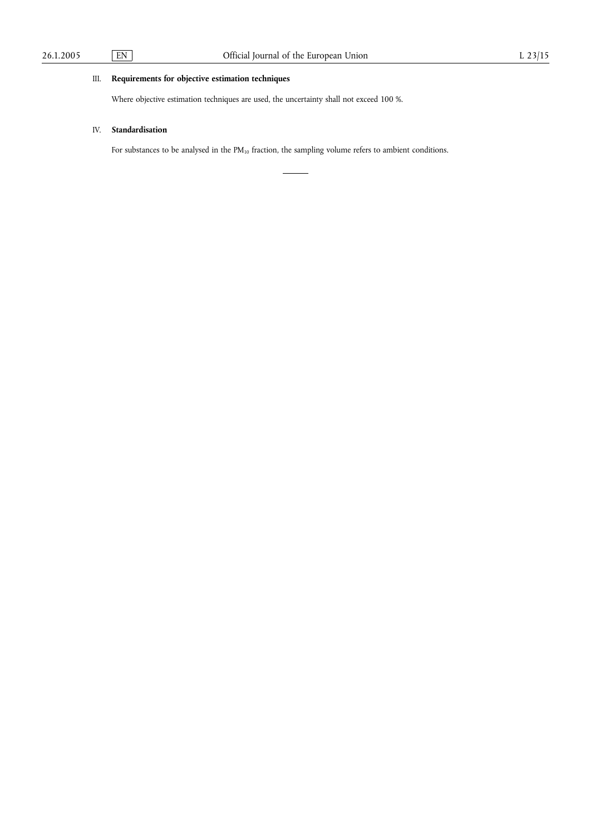# III. **Requirements for objective estimation techniques**

Where objective estimation techniques are used, the uncertainty shall not exceed 100 %.

# IV. **Standardisation**

For substances to be analysed in the  $PM_{10}$  fraction, the sampling volume refers to ambient conditions.